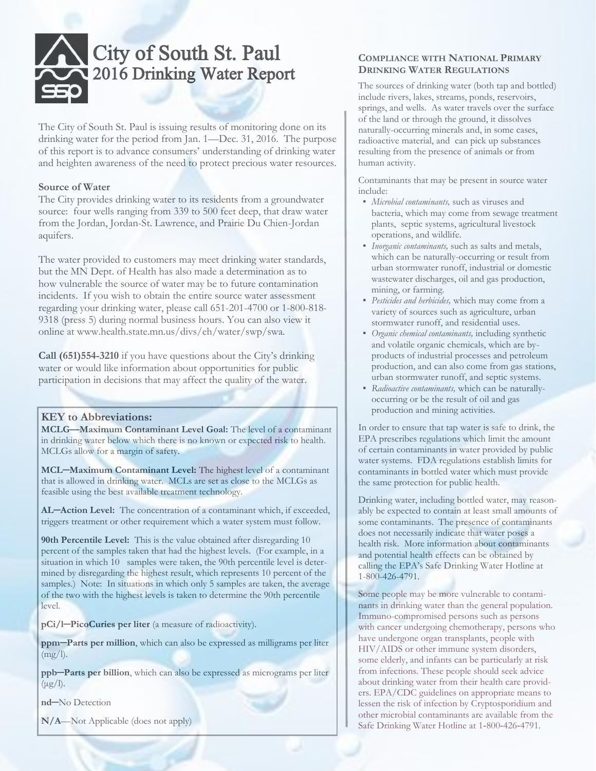

# City of South St. Paul 2016 Drinking Water Report

The City of South St. Paul is issuing results of monitoring done on its drinking water for the period from Jan. 1—Dec. 31, 2016. The purpose of this report is to advance consumers' understanding of drinking water and heighten awareness of the need to protect precious water resources.

#### **Source of Water**

The City provides drinking water to its residents from a groundwater source: four wells ranging from 339 to 500 feet deep, that draw water from the Jordan, Jordan-St. Lawrence, and Prairie Du Chien-Jordan aquifers.

The water provided to customers may meet drinking water standards, but the MN Dept. of Health has also made a determination as to how vulnerable the source of water may be to future contamination incidents. If you wish to obtain the entire source water assessment regarding your drinking water, please call 651-201-4700 or 1-800-818- 9318 (press 5) during normal business hours. You can also view it online at www.health.state.mn.us/divs/eh/water/swp/swa.

**Call (651)554-3210** if you have questions about the City's drinking water or would like information about opportunities for public participation in decisions that may affect the quality of the water.

#### **KEY to Abbreviations:**

**MCLG—Maximum Contaminant Level Goal:** The level of a contaminant in drinking water below which there is no known or expected risk to health. MCLGs allow for a margin of safety.

**MCL─Maximum Contaminant Level:** The highest level of a contaminant that is allowed in drinking water. MCLs are set as close to the MCLGs as feasible using the best available treatment technology.

**AL─Action Level:** The concentration of a contaminant which, if exceeded, triggers treatment or other requirement which a water system must follow.

**90th Percentile Level:** This is the value obtained after disregarding 10 percent of the samples taken that had the highest levels. (For example, in a situation in which 10 samples were taken, the 90th percentile level is determined by disregarding the highest result, which represents 10 percent of the samples.) Note: In situations in which only 5 samples are taken, the average of the two with the highest levels is taken to determine the 90th percentile level.

**pCi/l─PicoCuries per liter** (a measure of radioactivity).

**ppm─Parts per million**, which can also be expressed as milligrams per liter  $(mg/l).$ 

**ppb─Parts per billion**, which can also be expressed as micrograms per liter  $(\mu g/l).$ 

**nd**─No Detection

**N/A**—Not Applicable (does not apply)

### **COMPLIANCE WITH NATIONAL PRIMARY DRINKING WATER REGULATIONS**

The sources of drinking water (both tap and bottled) include rivers, lakes, streams, ponds, reservoirs, springs, and wells. As water travels over the surface of the land or through the ground, it dissolves naturally-occurring minerals and, in some cases, radioactive material, and can pick up substances resulting from the presence of animals or from human activity.

Contaminants that may be present in source water include:

- *Microbial contaminants,* such as viruses and bacteria, which may come from sewage treatment plants, septic systems, agricultural livestock operations, and wildlife.
- *Inorganic contaminants,* such as salts and metals, which can be naturally-occurring or result from urban stormwater runoff, industrial or domestic wastewater discharges, oil and gas production, mining, or farming.
- *Pesticides and herbicides,* which may come from a variety of sources such as agriculture, urban stormwater runoff, and residential uses.
- *Organic chemical contaminants,* including synthetic and volatile organic chemicals, which are byproducts of industrial processes and petroleum production, and can also come from gas stations, urban stormwater runoff, and septic systems.
- *Radioactive contaminants,* which can be naturallyoccurring or be the result of oil and gas production and mining activities.

In order to ensure that tap water is safe to drink, the EPA prescribes regulations which limit the amount of certain contaminants in water provided by public water systems. FDA regulations establish limits for contaminants in bottled water which must provide the same protection for public health.

Drinking water, including bottled water, may reasonably be expected to contain at least small amounts of some contaminants. The presence of contaminants does not necessarily indicate that water poses a health risk. More information about contaminants and potential health effects can be obtained by calling the EPA's Safe Drinking Water Hotline at 1-800-426-4791.

Some people may be more vulnerable to contaminants in drinking water than the general population. Immuno-compromised persons such as persons with cancer undergoing chemotherapy, persons who have undergone organ transplants, people with HIV/AIDS or other immune system disorders, some elderly, and infants can be particularly at risk from infections. These people should seek advice about drinking water from their health care providers. EPA/CDC guidelines on appropriate means to lessen the risk of infection by Cryptosporidium and other microbial contaminants are available from the Safe Drinking Water Hotline at 1-800-426-4791.